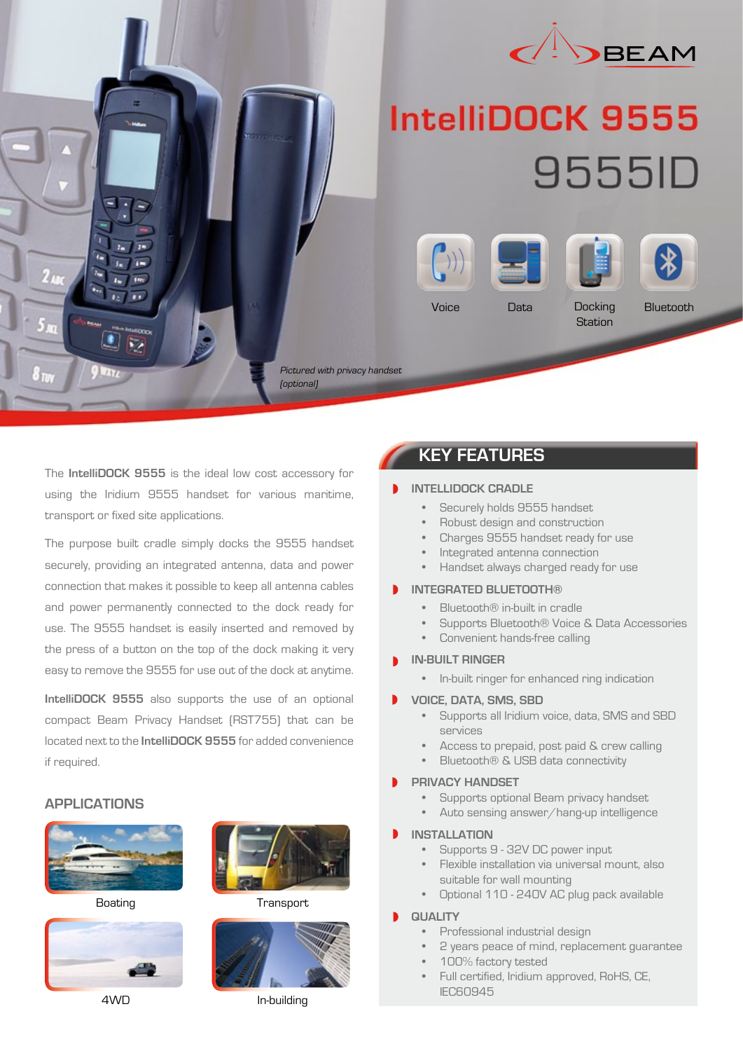

# **IntelliDOCK 9555** 9555ID









Voice Data Docking **Station**  **Bluetooth** 

Pictured with privacy handset (optional)

The **IntelliDOCK 9555** is the ideal low cost accessory for using the Iridium 9555 handset for various maritime, transport or fixed site applications.

 $\overline{1}$  $\overline{1}$  $\overline{\mathbf{1}}$  $\overline{11}$ 

The purpose built cradle simply docks the 9555 handset securely, providing an integrated antenna, data and power connection that makes it possible to keep all antenna cables and power permanently connected to the dock ready for use. The 9555 handset is easily inserted and removed by the press of a button on the top of the dock making it very easy to remove the 9555 for use out of the dock at anytime.

**IntelliDOCK 9555** also supports the use of an optional compact Beam Privacy Handset (RST755) that can be located next to the **IntelliDOCK 9555** for added convenience if required.

### **APPLICATIONS**







Boating **Transport** 



4WD In-building

## **KEY FEATURES**

#### **INTELLIDOCK CRADLE**

- Securely holds 9555 handset
- Robust design and construction
- Charges 9555 handset ready for use
- Integrated antenna connection
- Handset always charged ready for use

#### **INTEGRATED BLUETOOTH®**

- Bluetooth® in-built in cradle
- Supports Bluetooth® Voice & Data Accessories
- Convenient hands-free calling
- **IN-BUILT RINGER**
	- In-built ringer for enhanced ring indication

#### **VOICE, DATA, SMS, SBD**

- Supports all Iridium voice, data, SMS and SBD services
- Access to prepaid, post paid & crew calling
- Bluetooth® & USB data connectivity

#### **PRIVACY HANDSET**

- Supports optional Beam privacy handset
- Auto sensing answer/hang-up intelligence

#### **INSTALLATION**

- Supports 9 32V DC power input
- Flexible installation via universal mount, also suitable for wall mounting
- Optional 110 240V AC plug pack available

#### **QUALITY**

- Professional industrial design
- 2 years peace of mind, replacement guarantee
- 100% factory tested
- Full certified, Iridium approved, RoHS, CE, IEC60945